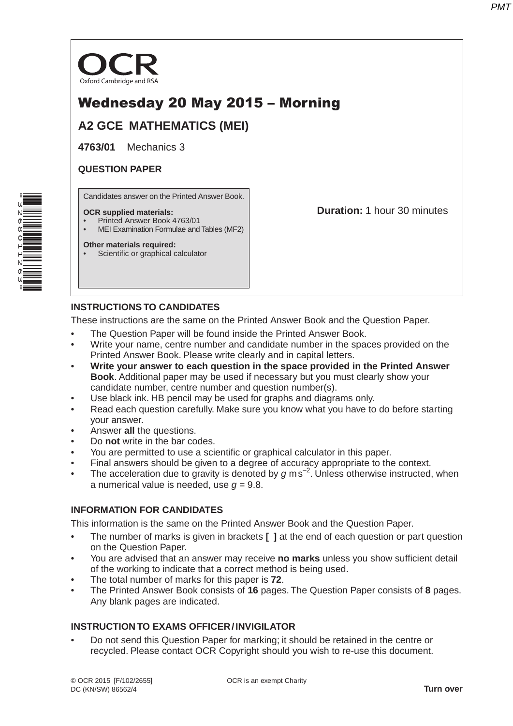

# Wednesday 20 May 2015 – Morning

## **A2 GCE MATHEMATICS (MEI)**

**4763/01** Mechanics 3

### **QUESTION PAPER**

\*سا N 6 $^\alpha$ 0۲ ۲ N 6لىا \* Candidates answer on the Printed Answer Book.

#### **OCR supplied materials:**

- Printed Answer Book 4763/01
- MEI Examination Formulae and Tables (MF2)

#### **Other materials required:**

Scientific or graphical calculator

**Duration:** 1 hour 30 minutes

### **INSTRUCTIONS TO CANDIDATES**

These instructions are the same on the Printed Answer Book and the Question Paper.

- The Question Paper will be found inside the Printed Answer Book.
- Write your name, centre number and candidate number in the spaces provided on the Printed Answer Book. Please write clearly and in capital letters.
- **Write your answer to each question in the space provided in the Printed Answer Book**. Additional paper may be used if necessary but you must clearly show your candidate number, centre number and question number(s).
- Use black ink. HB pencil may be used for graphs and diagrams only.
- Read each question carefully. Make sure you know what you have to do before starting your answer.
- Answer **all** the questions.
- Do **not** write in the bar codes.
- You are permitted to use a scientific or graphical calculator in this paper.
- Final answers should be given to a degree of accuracy appropriate to the context.
- The acceleration due to gravity is denoted by  $g$  ms<sup>-2</sup>. Unless otherwise instructed, when a numerical value is needed, use  $q = 9.8$ .

#### **INFORMATION FOR CANDIDATES**

This information is the same on the Printed Answer Book and the Question Paper.

- The number of marks is given in brackets **[ ]** at the end of each question or part question on the Question Paper.
- You are advised that an answer may receive **no marks** unless you show sufficient detail of the working to indicate that a correct method is being used.
- The total number of marks for this paper is **72**.
- The Printed Answer Book consists of **16** pages. The Question Paper consists of **8** pages. Any blank pages are indicated.

### **INSTRUCTION TO EXAMS OFFICER / INVIGILATOR**

• Do not send this Question Paper for marking; it should be retained in the centre or recycled. Please contact OCR Copyright should you wish to re-use this document.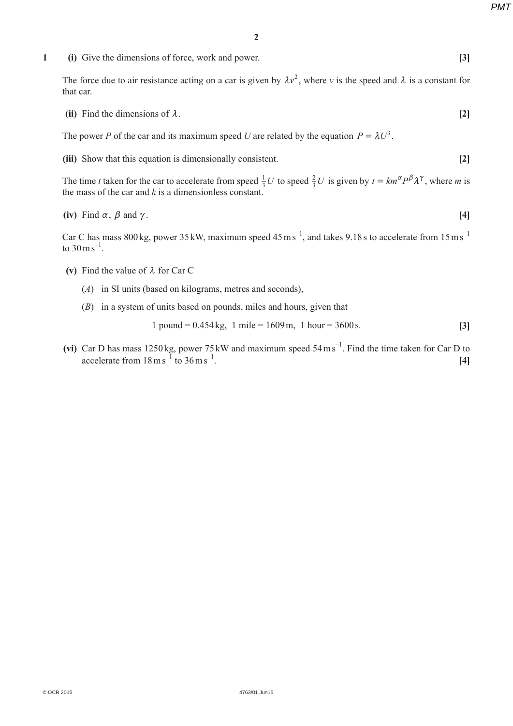**1** (i) Give the dimensions of force, work and power. **[3]** 

The force due to air resistance acting on a car is given by  $\lambda v^2$ , where *v* is the speed and  $\lambda$  is a constant for that car.

**(ii)** Find the dimensions of  $\lambda$ . [2]

The power *P* of the car and its maximum speed *U* are related by the equation  $P = \lambda U^3$ .

*(iii)* Show that this equation is dimensionally consistent. **[2]** 

The time *t* taken for the car to accelerate from speed  $\frac{1}{3}U$  to speed  $\frac{2}{3}U$  is given by  $t = km^{\alpha}P^{\beta}\lambda^{\gamma}$ , where *m* is the mass of the car and *k* is a dimensionless constant.

**(iv)** Find  $\alpha$ ,  $\beta$  and  $\gamma$ . **[4]** 

Car C has mass 800 kg, power 35 kW, maximum speed  $45 \text{ m s}^{-1}$ , and takes 9.18 s to accelerate from  $15 \text{ m s}^{-1}$ to  $30 \,\mathrm{m\,s}^{-1}$ .

- **(v)** Find the value of  $\lambda$  for Car C
	- (*A*) in SI units (based on kilograms, metres and seconds),
	- (*B*) in a system of units based on pounds, miles and hours, given that

1 pound = 0.454 kg, 1 mile = 1609 m, 1 hour = 3600 s. **[3]**

**(vi)** Car D has mass 1250 kg, power 75 kW and maximum speed 54 m s<sup>-1</sup>. Find the time taken for Car D to  $\text{accelerate from } 18 \,\text{m s}^{-1} \text{ to } 36 \,\text{m s}^{-1}.$  [4]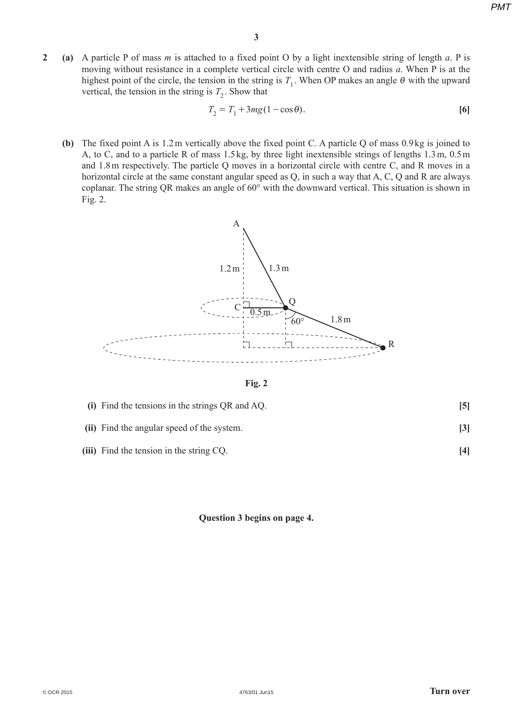**2 (a)**  A particle P of mass *m* is attached to a fixed point O by a light inextensible string of length *a*. P is moving without resistance in a complete vertical circle with centre O and radius *a*. When P is at the highest point of the circle, the tension in the string is  $T_1$ . When OP makes an angle  $\theta$  with the upward vertical, the tension in the string is  $T<sub>2</sub>$ . Show that

$$
T_2 = T_1 + 3mg(1 - \cos\theta).
$$
 [6]

*PMT*

**(b)** The fixed point A is 1.2 m vertically above the fixed point C. A particle Q of mass 0.9 kg is joined to A, to C, and to a particle R of mass 1.5 kg, by three light inextensible strings of lengths 1.3 m, 0.5 m and 1.8 m respectively. The particle Q moves in a horizontal circle with centre C, and R moves in a horizontal circle at the same constant angular speed as Q, in such a way that A, C, Q and R are always coplanar. The string QR makes an angle of 60° with the downward vertical. This situation is shown in Fig. 2.





| (i) Find the tensions in the strings QR and AQ. | $\mathbf{\overline{5}}$ |
|-------------------------------------------------|-------------------------|
| (ii) Find the angular speed of the system.      | $\lceil 3 \rceil$       |
| (iii) Find the tension in the string CQ.        | [4]                     |

#### **Question 3 begins on page 4.**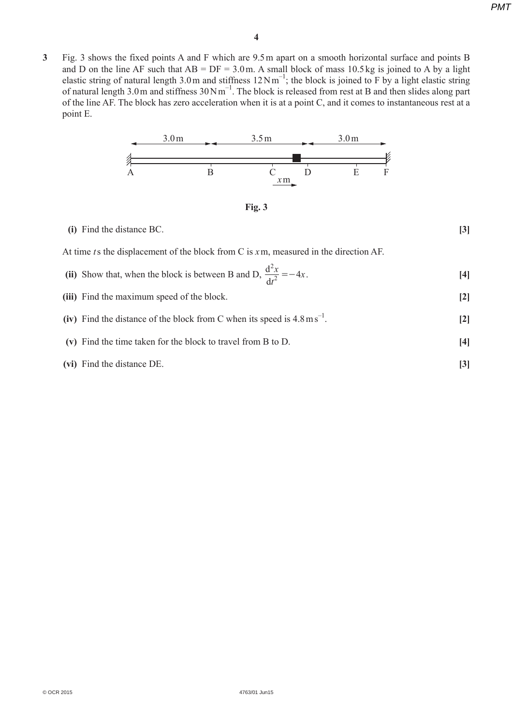**3**  Fig. 3 shows the fixed points A and F which are 9.5 m apart on a smooth horizontal surface and points B and D on the line AF such that  $AB = DF = 3.0$  m. A small block of mass 10.5 kg is joined to A by a light elastic string of natural length 3.0 m and stiffness  $12 \text{ N m}^{-1}$ ; the block is joined to F by a light elastic string of natural length 3.0 m and stiffness  $30 N m^{-1}$ . The block is released from rest at B and then slides along part of the line AF. The block has zero acceleration when it is at a point C, and it comes to instantaneous rest at a point E.





| (i) Find the distance BC.                                                                       | $\left[3\right]$  |
|-------------------------------------------------------------------------------------------------|-------------------|
| At time ts the displacement of the block from C is $x \text{m}$ , measured in the direction AF. |                   |
| (ii) Show that, when the block is between B and D, $\frac{d^2x}{dt^2} = -4x$ .                  | 14                |
| (iii) Find the maximum speed of the block.                                                      | $\mathbf{[2]}$    |
| (iv) Find the distance of the block from C when its speed is $4.8 \text{ m s}^{-1}$ .           | $\lceil 2 \rceil$ |
| (v) Find the time taken for the block to travel from B to D.                                    | $[4]$             |
| (vi) Find the distance DE.                                                                      | $\vert 3 \vert$   |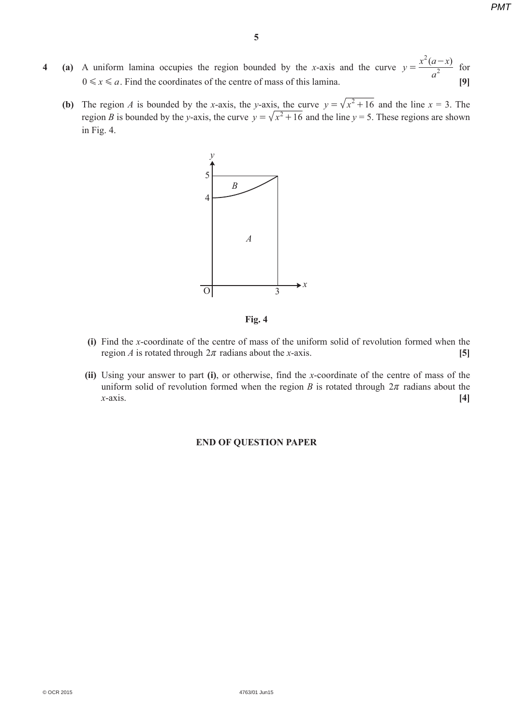- **4** (a) A uniform lamina occupies the region bounded by the *x*-axis and the curve  $y = \frac{x^2(a-x)}{2}$ *a*  $x^2(a-x)$ 2  $=\frac{x^2(a-x)}{2}$  for  $0 \le x \le a$ . Find the coordinates of the centre of mass of this lamina. *a* 
	- **(b)** The region *A* is bounded by the *x*-axis, the *y*-axis, the curve  $y = \sqrt{x^2 + 16}$  and the line  $x = 3$ . The region *B* is bounded by the *y*-axis, the curve  $y = \sqrt{x^2 + 16}$  and the line  $y = 5$ . These regions are shown in Fig. 4.



**Fig. 4**

- **(i)** Find the *x*-coordinate of the centre of mass of the uniform solid of revolution formed when the region *A* is rotated through  $2\pi$  radians about the *x*-axis. **[5]**
- **(ii)** Using your answer to part **(i)**, or otherwise, find the *x*-coordinate of the centre of mass of the uniform solid of revolution formed when the region *B* is rotated through  $2\pi$  radians about the *x*-axis. **[4]**

#### **END OF QUESTION PAPER**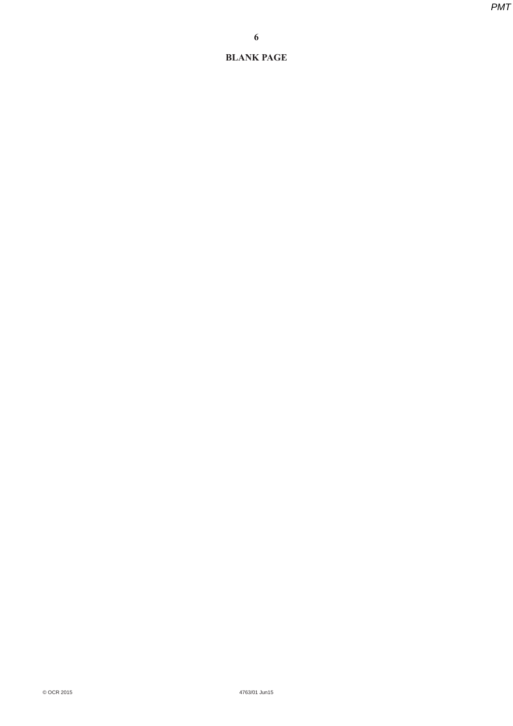### **BLANK PAGE**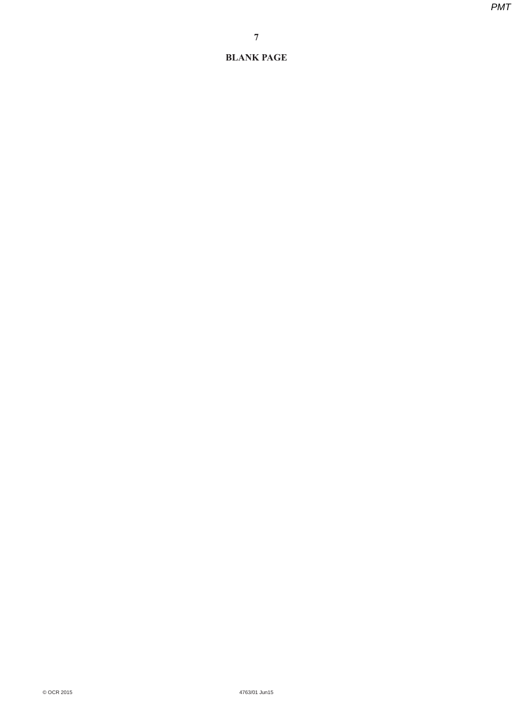### **BLANK PAGE**